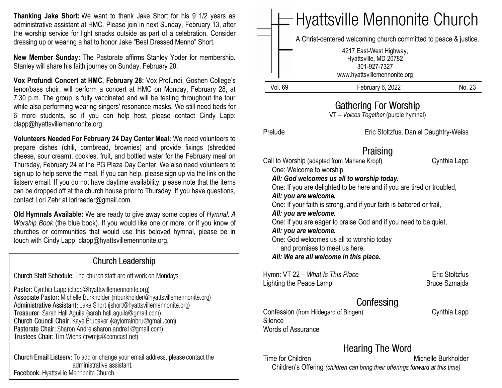**Thanking Jake Short:** We want to thank Jake Short for his 9 1/2 years as administrative assistant at HMC. Please join in next Sunday, February 13, after the worship service for light snacks outside as part of a celebration. Consider dressing up or wearing a hat to honor Jake "Best Dressed Menno" Short.

**New Member Sunday:** The Pastorate affirms Stanley Yoder for membership. Stanley will share his faith journey on Sunday, February 20.

**Vox Profundi Concert at HMC, February 28:** Vox Profundi, Goshen College's tenor/bass choir, will perform a concert at HMC on Monday, February 28, at 7:30 p.m. The group is fully vaccinated and will be testing throughout the tour while also performing wearing singers' resonance masks. We still need beds for 6 more students, so if you can help host, please contact Cindy Lapp: clapp@hyattsvillemennonite.org.

**Volunteers Needed For February 24 Day Center Meal:** We need volunteers to prepare dishes (chili, cornbread, brownies) and provide fixings (shredded cheese, sour cream), cookies, fruit, and bottled water for the February meal on Thursday, February 24 at the PG Plaza Day Center. We also need volunteers to sign up to help serve the meal. If you can help, please sign up via the link on the listserv email. If you do not have daytime availability, please note that the items can be dropped off at the church house prior to Thursday. If you have questions, contact Lori Zehr at lorireeder@gmail.com.

**Old Hymnals Available:** We are ready to give away some copies of *Hymnal: A Worship Book* (the blue book). If you would like one or more, or if you know of churches or communities that would use this beloved hymnal, please be in touch with Cindy Lapp: clapp@hyattsvillemennonite.org.

#### **Church Leadership**

Church Staff Schedule: The church staff are off work on Mondays.

Pastor: Cynthia Lapp (clapp@hyattsvillemennonite.org) Associate Pastor: Michelle Burkholder (mburkholder@hyattsvillemennonite.org) Administrative Assistant: Jake Short (ishort@hyattsvillemennonite.org) Treasurer: Sarah Hall Aguila (sarah.hall.aguila@gmail.com) Church Council Chair: Kaye Brubaker (kaylorrainbru@gmail.com) Pastorate Chair: Sharon Andre (sharon andre1@gmail.com) Trustees Chair: Tim Wiens (trwmjs@comcast.net)

Church Email Listserv: To add or change your email address, please contact the administrative assistant. Facebook: Hyattsville Mennonite Church

|         | $=$ Hyattsville Mennonite Church                                                                                                                                     |       |
|---------|----------------------------------------------------------------------------------------------------------------------------------------------------------------------|-------|
|         | A Christ-centered welcoming church committed to peace & justice.<br>4217 East-West Highway,<br>Hyattsville, MD 20782<br>301-927-7327<br>www.hyattsvillemennonite.org |       |
| Vol. 69 | February 6, 2022                                                                                                                                                     | No 23 |

## **Gathering For Worship**

VT – *Voices Together* (purple hymnal)

Silence

Words of Assurance

Prelude Eric Stoltzfus, Daniel Daughtry-Weiss

# Praising

Call to Worship (adapted from Marlene Kropf) Cynthia Lapp One: Welcome to worship. *All: God welcomes us all to worship today.* One: If you are delighted to be here and if you are tired or troubled, *All: you are welcome.* One: If your faith is strong, and if your faith is battered or frail, *All: you are welcome.* One: If you are eager to praise God and if you need to be quiet, *All: you are welcome.* One: God welcomes us all to worship today and promises to meet us here. *All: We are all welcome in this place.* Hymn: VT 22 – *What Is This Place* Eric Stoltzfus Lighting the Peace Lamp Bruce Szmajda

Confessing

Confession (from Hildegard of Bingen) Cynthia Lapp

# **Hearing The Word**

Time for Children Michelle Burkholder Children's Offering *(children can bring their offerings forward at this time)*